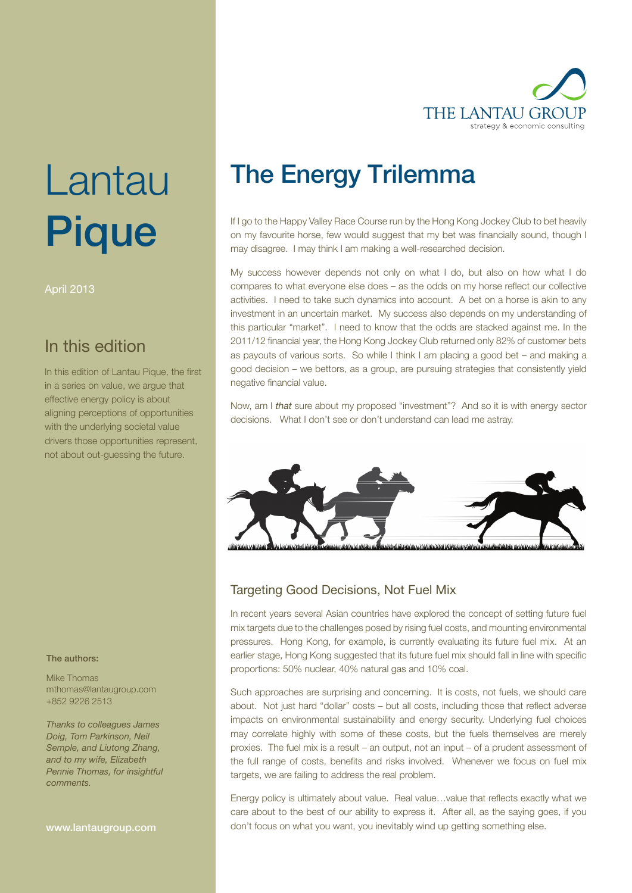

# Lantau Pique

April 2013

# In this edition

In this edition of Lantau Pique, the first in a series on value, we argue that effective energy policy is about aligning perceptions of opportunities with the underlying societal value drivers those opportunities represent, not about out-guessing the future.

#### The authors:

Mike Thomas mthomas@lantaugroup.com +852 9226 2513

Thanks to colleagues James Doig, Tom Parkinson, Neil Semple, and Liutong Zhang, and to my wife, Elizabeth Pennie Thomas, for insightful comments.

www.lantaugroup.com

# The Energy Trilemma

If I go to the Happy Valley Race Course run by the Hong Kong Jockey Club to bet heavily on my favourite horse, few would suggest that my bet was financially sound, though I may disagree. I may think I am making a well-researched decision.

My success however depends not only on what I do, but also on how what I do compares to what everyone else does – as the odds on my horse reflect our collective activities. I need to take such dynamics into account. A bet on a horse is akin to any investment in an uncertain market. My success also depends on my understanding of this particular "market". I need to know that the odds are stacked against me. In the 2011/12 financial year, the Hong Kong Jockey Club returned only 82% of customer bets as payouts of various sorts. So while I think I am placing a good bet – and making a good decision – we bettors, as a group, are pursuing strategies that consistently yield negative financial value.

Now, am I that sure about my proposed "investment"? And so it is with energy sector decisions. What I don't see or don't understand can lead me astray.



### Targeting Good Decisions, Not Fuel Mix

In recent years several Asian countries have explored the concept of setting future fuel mix targets due to the challenges posed by rising fuel costs, and mounting environmental pressures. Hong Kong, for example, is currently evaluating its future fuel mix. At an earlier stage, Hong Kong suggested that its future fuel mix should fall in line with specific proportions: 50% nuclear, 40% natural gas and 10% coal.

Such approaches are surprising and concerning. It is costs, not fuels, we should care about. Not just hard "dollar" costs – but all costs, including those that reflect adverse impacts on environmental sustainability and energy security. Underlying fuel choices may correlate highly with some of these costs, but the fuels themselves are merely proxies. The fuel mix is a result – an output, not an input – of a prudent assessment of the full range of costs, benefits and risks involved. Whenever we focus on fuel mix targets, we are failing to address the real problem.

Energy policy is ultimately about value. Real value…value that reflects exactly what we care about to the best of our ability to express it. After all, as the saying goes, if you don't focus on what you want, you inevitably wind up getting something else.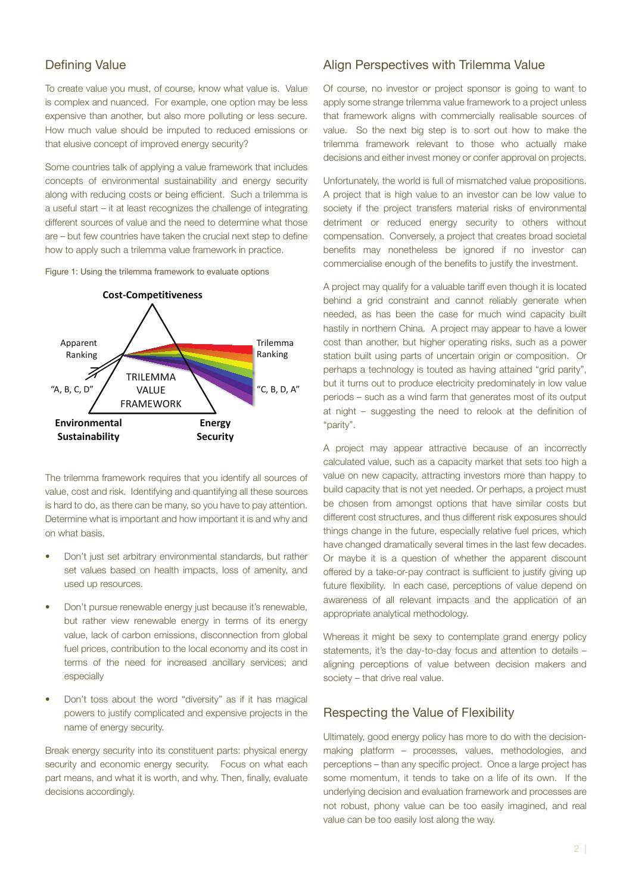#### Defining Value

To create value you must, of course, know what value is. Value is complex and nuanced. For example, one option may be less expensive than another, but also more polluting or less secure. How much value should be imputed to reduced emissions or that elusive concept of improved energy security?

Some countries talk of applying a value framework that includes concepts of environmental sustainability and energy security along with reducing costs or being efficient. Such a trilemma is a useful start – it at least recognizes the challenge of integrating different sources of value and the need to determine what those are – but few countries have taken the crucial next step to define how to apply such a trilemma value framework in practice.





The trilemma framework requires that you identify all sources of value, cost and risk. Identifying and quantifying all these sources is hard to do, as there can be many, so you have to pay attention. Determine what is important and how important it is and why and on what basis.

- Don't just set arbitrary environmental standards, but rather set values based on health impacts, loss of amenity, and used up resources.
- Don't pursue renewable energy just because it's renewable, but rather view renewable energy in terms of its energy value, lack of carbon emissions, disconnection from global fuel prices, contribution to the local economy and its cost in terms of the need for increased ancillary services; and especially
- Don't toss about the word "diversity" as if it has magical powers to justify complicated and expensive projects in the name of energy security.

Break energy security into its constituent parts: physical energy security and economic energy security. Focus on what each part means, and what it is worth, and why. Then, finally, evaluate decisions accordingly.

#### Align Perspectives with Trilemma Value

Of course, no investor or project sponsor is going to want to apply some strange trilemma value framework to a project unless that framework aligns with commercially realisable sources of value. So the next big step is to sort out how to make the trilemma framework relevant to those who actually make decisions and either invest money or confer approval on projects.

Unfortunately, the world is full of mismatched value propositions. A project that is high value to an investor can be low value to society if the project transfers material risks of environmental detriment or reduced energy security to others without compensation. Conversely, a project that creates broad societal benefits may nonetheless be ignored if no investor can commercialise enough of the benefits to justify the investment.

A project may qualify for a valuable tariff even though it is located behind a grid constraint and cannot reliably generate when needed, as has been the case for much wind capacity built hastily in northern China. A project may appear to have a lower cost than another, but higher operating risks, such as a power station built using parts of uncertain origin or composition. Or perhaps a technology is touted as having attained "grid parity", but it turns out to produce electricity predominately in low value periods – such as a wind farm that generates most of its output at night – suggesting the need to relook at the definition of "parity".

A project may appear attractive because of an incorrectly calculated value, such as a capacity market that sets too high a value on new capacity, attracting investors more than happy to build capacity that is not yet needed. Or perhaps, a project must be chosen from amongst options that have similar costs but different cost structures, and thus different risk exposures should things change in the future, especially relative fuel prices, which have changed dramatically several times in the last few decades. Or maybe it is a question of whether the apparent discount offered by a take-or-pay contract is sufficient to justify giving up future flexibility. In each case, perceptions of value depend on awareness of all relevant impacts and the application of an appropriate analytical methodology.

Whereas it might be sexy to contemplate grand energy policy statements, it's the day-to-day focus and attention to details – aligning perceptions of value between decision makers and society – that drive real value.

#### Respecting the Value of Flexibility

Ultimately, good energy policy has more to do with the decisionmaking platform – processes, values, methodologies, and perceptions – than any specific project. Once a large project has some momentum, it tends to take on a life of its own. If the underlying decision and evaluation framework and processes are not robust, phony value can be too easily imagined, and real value can be too easily lost along the way.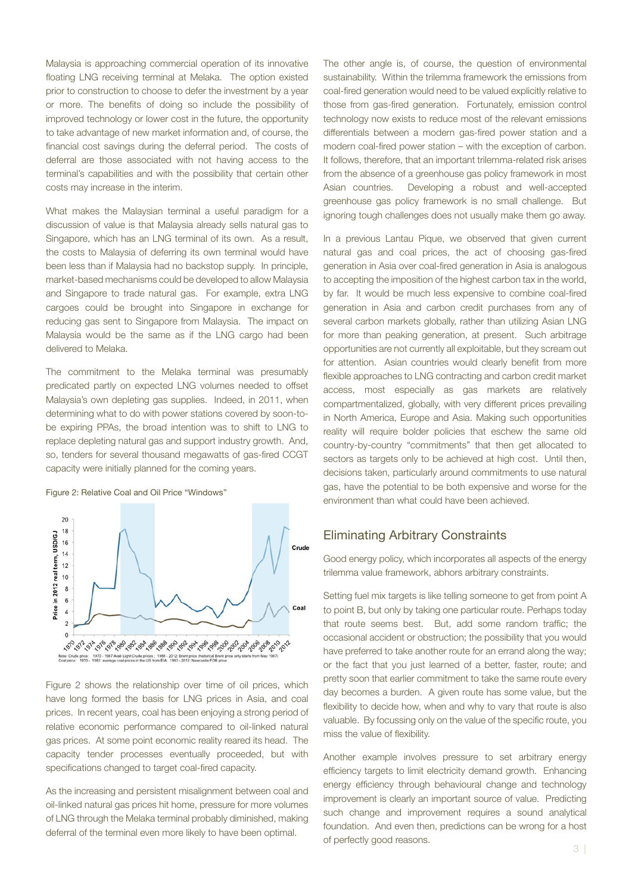Malaysia is approaching commercial operation of its innovative floating LNG receiving terminal at Melaka. The option existed prior to construction to choose to defer the investment by a year or more. The benefits of doing so include the possibility of improved technology or lower cost in the future, the opportunity to take advantage of new market information and, of course, the financial cost savings during the deferral period. The costs of deferral are those associated with not having access to the terminal's capabilities and with the possibility that certain other costs may increase in the interim.

What makes the Malaysian terminal a useful paradigm for a discussion of value is that Malaysia already sells natural gas to Singapore, which has an LNG terminal of its own. As a result, the costs to Malaysia of deferring its own terminal would have been less than if Malaysia had no backstop supply. In principle, market-based mechanisms could be developed to allow Malaysia and Singapore to trade natural gas. For example, extra LNG cargoes could be brought into Singapore in exchange for reducing gas sent to Singapore from Malaysia. The impact on Malaysia would be the same as if the LNG cargo had been delivered to Melaka.

The commitment to the Melaka terminal was presumably predicated partly on expected LNG volumes needed to offset Malaysia's own depleting gas supplies. Indeed, in 2011, when determining what to do with power stations covered by soon-tobe expiring PPAs, the broad intention was to shift to LNG to replace depleting natural gas and support industry growth. And, so, tenders for several thousand megawatts of gas-fired CCGT capacity were initially planned for the coming years.

#### Figure 2: Relative Coal and Oil Price "Windows"



Figure 2 shows the relationship over time of oil prices, which have long formed the basis for LNG prices in Asia, and coal prices. In recent years, coal has been enjoying a strong period of relative economic performance compared to oil-linked natural gas prices. At some point economic reality reared its head. The capacity tender processes eventually proceeded, but with specifications changed to target coal-fired capacity.

As the increasing and persistent misalignment between coal and oil-linked natural gas prices hit home, pressure for more volumes of LNG through the Melaka terminal probably diminished, making deferral of the terminal even more likely to have been optimal.

The other angle is, of course, the question of environmental sustainability. Within the trilemma framework the emissions from coal-fired generation would need to be valued explicitly relative to those from gas-fired generation. Fortunately, emission control technology now exists to reduce most of the relevant emissions differentials between a modern gas-fired power station and a modern coal-fired power station – with the exception of carbon. It follows, therefore, that an important trilemma-related risk arises from the absence of a greenhouse gas policy framework in most Asian countries. Developing a robust and well-accepted greenhouse gas policy framework is no small challenge. But ignoring tough challenges does not usually make them go away.

In a previous Lantau Pique, we observed that given current natural gas and coal prices, the act of choosing gas-fired generation in Asia over coal-fired generation in Asia is analogous to accepting the imposition of the highest carbon tax in the world, by far. It would be much less expensive to combine coal-fired generation in Asia and carbon credit purchases from any of several carbon markets globally, rather than utilizing Asian LNG for more than peaking generation, at present. Such arbitrage opportunities are not currently all exploitable, but they scream out for attention. Asian countries would clearly benefit from more flexible approaches to LNG contracting and carbon credit market access, most especially as gas markets are relatively compartmentalized, globally, with very different prices prevailing in North America, Europe and Asia. Making such opportunities reality will require bolder policies that eschew the same old country-by-country "commitments" that then get allocated to sectors as targets only to be achieved at high cost. Until then, decisions taken, particularly around commitments to use natural gas, have the potential to be both expensive and worse for the environment than what could have been achieved.

#### Eliminating Arbitrary Constraints

Good energy policy, which incorporates all aspects of the energy trilemma value framework, abhors arbitrary constraints.

Setting fuel mix targets is like telling someone to get from point A to point B, but only by taking one particular route. Perhaps today that route seems best. But, add some random traffic; the occasional accident or obstruction; the possibility that you would have preferred to take another route for an errand along the way; or the fact that you just learned of a better, faster, route; and pretty soon that earlier commitment to take the same route every day becomes a burden. A given route has some value, but the flexibility to decide how, when and why to vary that route is also valuable. By focussing only on the value of the specific route, you miss the value of flexibility.

Another example involves pressure to set arbitrary energy efficiency targets to limit electricity demand growth. Enhancing energy efficiency through behavioural change and technology improvement is clearly an important source of value. Predicting such change and improvement requires a sound analytical foundation. And even then, predictions can be wrong for a host of perfectly good reasons.  $\frac{3}{3}$